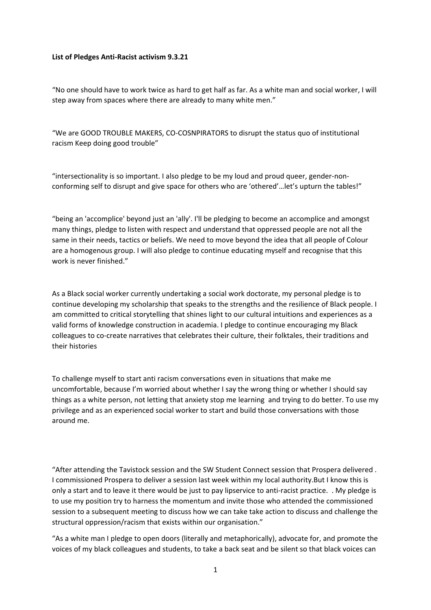## **List of Pledges Anti-Racist activism 9.3.21**

"No one should have to work twice as hard to get half as far. As a white man and social worker, I will step away from spaces where there are already to many white men."

"We are GOOD TROUBLE MAKERS, CO-COSNPIRATORS to disrupt the status quo of institutional racism Keep doing good trouble"

"intersectionality is so important. I also pledge to be my loud and proud queer, gender-nonconforming self to disrupt and give space for others who are 'othered'…let's upturn the tables!"

"being an 'accomplice' beyond just an 'ally'. I'll be pledging to become an accomplice and amongst many things, pledge to listen with respect and understand that oppressed people are not all the same in their needs, tactics or beliefs. We need to move beyond the idea that all people of Colour are a homogenous group. I will also pledge to continue educating myself and recognise that this work is never finished."

As a Black social worker currently undertaking a social work doctorate, my personal pledge is to continue developing my scholarship that speaks to the strengths and the resilience of Black people. I am committed to critical storytelling that shines light to our cultural intuitions and experiences as a valid forms of knowledge construction in academia. I pledge to continue encouraging my Black colleagues to co-create narratives that celebrates their culture, their folktales, their traditions and their histories

To challenge myself to start anti racism conversations even in situations that make me uncomfortable, because I'm worried about whether I say the wrong thing or whether I should say things as a white person, not letting that anxiety stop me learning and trying to do better. To use my privilege and as an experienced social worker to start and build those conversations with those around me.

"After attending the Tavistock session and the SW Student Connect session that Prospera delivered . I commissioned Prospera to deliver a session last week within my local authority.But I know this is only a start and to leave it there would be just to pay lipservice to anti-racist practice. . My pledge is to use my position try to harness the momentum and invite those who attended the commissioned session to a subsequent meeting to discuss how we can take take action to discuss and challenge the structural oppression/racism that exists within our organisation."

"As a white man I pledge to open doors (literally and metaphorically), advocate for, and promote the voices of my black colleagues and students, to take a back seat and be silent so that black voices can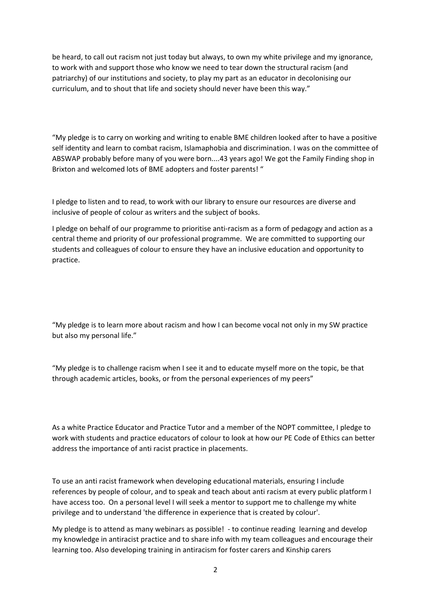be heard, to call out racism not just today but always, to own my white privilege and my ignorance, to work with and support those who know we need to tear down the structural racism (and patriarchy) of our institutions and society, to play my part as an educator in decolonising our curriculum, and to shout that life and society should never have been this way."

"My pledge is to carry on working and writing to enable BME children looked after to have a positive self identity and learn to combat racism, Islamaphobia and discrimination. I was on the committee of ABSWAP probably before many of you were born....43 years ago! We got the Family Finding shop in Brixton and welcomed lots of BME adopters and foster parents! "

I pledge to listen and to read, to work with our library to ensure our resources are diverse and inclusive of people of colour as writers and the subject of books.

I pledge on behalf of our programme to prioritise anti-racism as a form of pedagogy and action as a central theme and priority of our professional programme. We are committed to supporting our students and colleagues of colour to ensure they have an inclusive education and opportunity to practice.

"My pledge is to learn more about racism and how I can become vocal not only in my SW practice but also my personal life."

"My pledge is to challenge racism when I see it and to educate myself more on the topic, be that through academic articles, books, or from the personal experiences of my peers"

As a white Practice Educator and Practice Tutor and a member of the NOPT committee, I pledge to work with students and practice educators of colour to look at how our PE Code of Ethics can better address the importance of anti racist practice in placements.

To use an anti racist framework when developing educational materials, ensuring I include references by people of colour, and to speak and teach about anti racism at every public platform I have access too. On a personal level I will seek a mentor to support me to challenge my white privilege and to understand 'the difference in experience that is created by colour'.

My pledge is to attend as many webinars as possible! - to continue reading learning and develop my knowledge in antiracist practice and to share info with my team colleagues and encourage their learning too. Also developing training in antiracism for foster carers and Kinship carers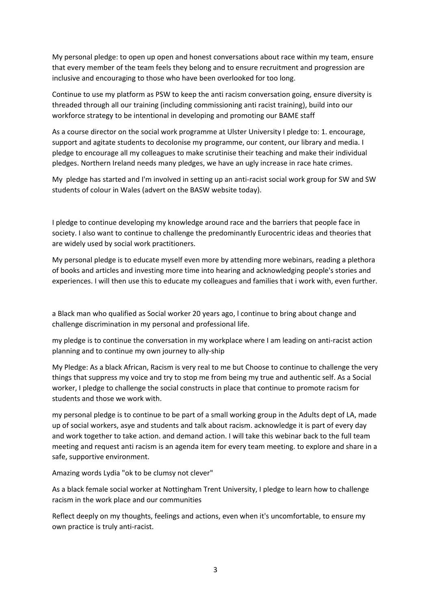My personal pledge: to open up open and honest conversations about race within my team, ensure that every member of the team feels they belong and to ensure recruitment and progression are inclusive and encouraging to those who have been overlooked for too long.

Continue to use my platform as PSW to keep the anti racism conversation going, ensure diversity is threaded through all our training (including commissioning anti racist training), build into our workforce strategy to be intentional in developing and promoting our BAME staff

As a course director on the social work programme at Ulster University I pledge to: 1. encourage, support and agitate students to decolonise my programme, our content, our library and media. I pledge to encourage all my colleagues to make scrutinise their teaching and make their individual pledges. Northern Ireland needs many pledges, we have an ugly increase in race hate crimes.

My pledge has started and I'm involved in setting up an anti-racist social work group for SW and SW students of colour in Wales (advert on the BASW website today).

I pledge to continue developing my knowledge around race and the barriers that people face in society. I also want to continue to challenge the predominantly Eurocentric ideas and theories that are widely used by social work practitioners.

My personal pledge is to educate myself even more by attending more webinars, reading a plethora of books and articles and investing more time into hearing and acknowledging people's stories and experiences. I will then use this to educate my colleagues and families that i work with, even further.

a Black man who qualified as Social worker 20 years ago, l continue to bring about change and challenge discrimination in my personal and professional life.

my pledge is to continue the conversation in my workplace where I am leading on anti-racist action planning and to continue my own journey to ally-ship

My Pledge: As a black African, Racism is very real to me but Choose to continue to challenge the very things that suppress my voice and try to stop me from being my true and authentic self. As a Social worker, I pledge to challenge the social constructs in place that continue to promote racism for students and those we work with.

my personal pledge is to continue to be part of a small working group in the Adults dept of LA, made up of social workers, asye and students and talk about racism. acknowledge it is part of every day and work together to take action. and demand action. I will take this webinar back to the full team meeting and request anti racism is an agenda item for every team meeting. to explore and share in a safe, supportive environment.

Amazing words Lydia "ok to be clumsy not clever"

As a black female social worker at Nottingham Trent University, I pledge to learn how to challenge racism in the work place and our communities

Reflect deeply on my thoughts, feelings and actions, even when it's uncomfortable, to ensure my own practice is truly anti-racist.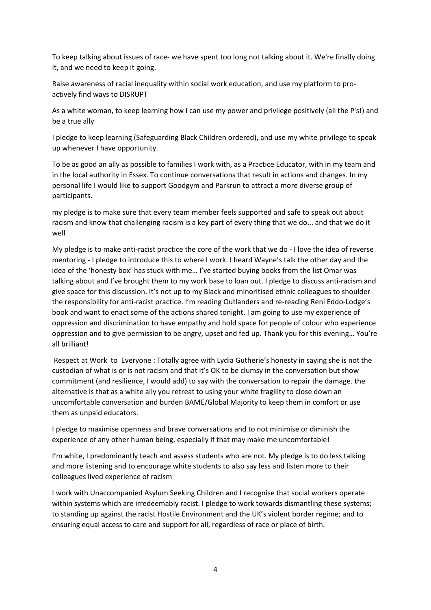To keep talking about issues of race- we have spent too long not talking about it. We're finally doing it, and we need to keep it going.

Raise awareness of racial inequality within social work education, and use my platform to proactively find ways to DISRUPT

As a white woman, to keep learning how I can use my power and privilege positively (all the P's!) and be a true ally

I pledge to keep learning (Safeguarding Black Children ordered), and use my white privilege to speak up whenever I have opportunity.

To be as good an ally as possible to families I work with, as a Practice Educator, with in my team and in the local authority in Essex. To continue conversations that result in actions and changes. In my personal life I would like to support Goodgym and Parkrun to attract a more diverse group of participants.

my pledge is to make sure that every team member feels supported and safe to speak out about racism and know that challenging racism is a key part of every thing that we do... and that we do it well

My pledge is to make anti-racist practice the core of the work that we do - I love the idea of reverse mentoring - I pledge to introduce this to where I work. I heard Wayne's talk the other day and the idea of the 'honesty box' has stuck with me… I've started buying books from the list Omar was talking about and I've brought them to my work base to loan out. I pledge to discuss anti-racism and give space for this discussion. It's not up to my Black and minoritised ethnic colleagues to shoulder the responsibility for anti-racist practice. I'm reading Outlanders and re-reading Reni Eddo-Lodge's book and want to enact some of the actions shared tonight. I am going to use my experience of oppression and discrimination to have empathy and hold space for people of colour who experience oppression and to give permission to be angry, upset and fed up. Thank you for this evening… You're all brilliant!

Respect at Work to Everyone : Totally agree with Lydia Gutherie's honesty in saying she is not the custodian of what is or is not racism and that it's OK to be clumsy in the conversation but show commitment (and resilience, I would add) to say with the conversation to repair the damage. the alternative is that as a white ally you retreat to using your white fragility to close down an uncomfortable conversation and burden BAME/Global Majority to keep them in comfort or use them as unpaid educators.

I pledge to maximise openness and brave conversations and to not minimise or diminish the experience of any other human being, especially if that may make me uncomfortable!

I'm white, I predominantly teach and assess students who are not. My pledge is to do less talking and more listening and to encourage white students to also say less and listen more to their colleagues lived experience of racism

I work with Unaccompanied Asylum Seeking Children and I recognise that social workers operate within systems which are irredeemably racist. I pledge to work towards dismantling these systems; to standing up against the racist Hostile Environment and the UK's violent border regime; and to ensuring equal access to care and support for all, regardless of race or place of birth.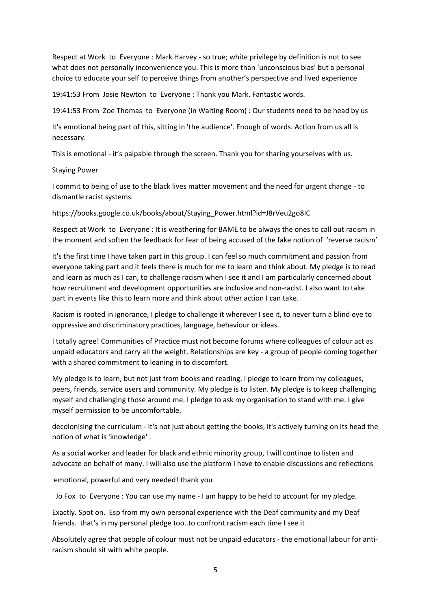Respect at Work to Everyone : Mark Harvey - so true; white privilege by definition is not to see what does not personally inconvenience you. This is more than 'unconscious bias' but a personal choice to educate your self to perceive things from another's perspective and lived experience

19:41:53 From Josie Newton to Everyone : Thank you Mark. Fantastic words.

19:41:53 From Zoe Thomas to Everyone (in Waiting Room) : Our students need to be head by us

It's emotional being part of this, sitting in 'the audience'. Enough of words. Action from us all is necessary.

This is emotional - it's palpable through the screen. Thank you for sharing yourselves with us.

## Staying Power

I commit to being of use to the black lives matter movement and the need for urgent change - to dismantle racist systems.

https://books.google.co.uk/books/about/Staying\_Power.html?id=J8rVeu2go8IC

Respect at Work to Everyone : It is weathering for BAME to be always the ones to call out racism in the moment and soften the feedback for fear of being accused of the fake notion of 'reverse racism'

It's the first time I have taken part in this group. I can feel so much commitment and passion from everyone taking part and it feels there is much for me to learn and think about. My pledge is to read and learn as much as I can, to challenge racism when I see it and I am particularly concerned about how recruitment and development opportunities are inclusive and non-racist. I also want to take part in events like this to learn more and think about other action I can take.

Racism is rooted in ignorance, I pledge to challenge it wherever I see it, to never turn a blind eye to oppressive and discriminatory practices, language, behaviour or ideas.

I totally agree! Communities of Practice must not become forums where colleagues of colour act as unpaid educators and carry all the weight. Relationships are key - a group of people coming together with a shared commitment to leaning in to discomfort.

My pledge is to learn, but not just from books and reading. I pledge to learn from my colleagues, peers, friends, service users and community. My pledge is to listen. My pledge is to keep challenging myself and challenging those around me. I pledge to ask my organisation to stand with me. I give myself permission to be uncomfortable.

decolonising the curriculum - it's not just about getting the books, it's actively turning on its head the notion of what is 'knowledge' .

As a social worker and leader for black and ethnic minority group, I will continue to listen and advocate on behalf of many. I will also use the platform I have to enable discussions and reflections

emotional, powerful and very needed! thank you

Jo Fox to Everyone : You can use my name - I am happy to be held to account for my pledge.

Exactly. Spot on. Esp from my own personal experience with the Deaf community and my Deaf friends. that's in my personal pledge too..to confront racism each time I see it

Absolutely agree that people of colour must not be unpaid educators - the emotional labour for antiracism should sit with white people.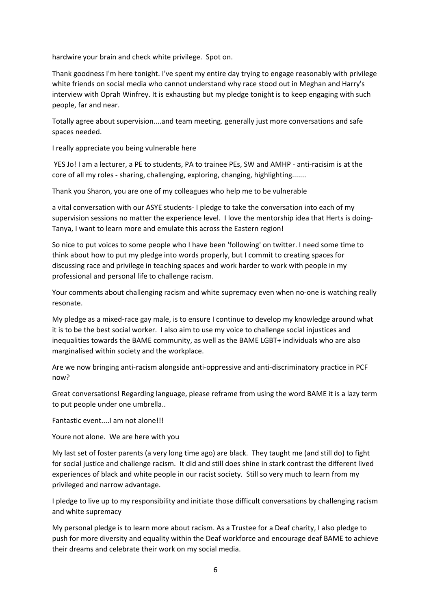hardwire your brain and check white privilege. Spot on.

Thank goodness I'm here tonight. I've spent my entire day trying to engage reasonably with privilege white friends on social media who cannot understand why race stood out in Meghan and Harry's interview with Oprah Winfrey. It is exhausting but my pledge tonight is to keep engaging with such people, far and near.

Totally agree about supervision....and team meeting. generally just more conversations and safe spaces needed.

I really appreciate you being vulnerable here

YES Jo! I am a lecturer, a PE to students, PA to trainee PEs, SW and AMHP - anti-racisim is at the core of all my roles - sharing, challenging, exploring, changing, highlighting.......

Thank you Sharon, you are one of my colleagues who help me to be vulnerable

a vital conversation with our ASYE students- I pledge to take the conversation into each of my supervision sessions no matter the experience level. I love the mentorship idea that Herts is doing-Tanya, I want to learn more and emulate this across the Eastern region!

So nice to put voices to some people who I have been 'following' on twitter. I need some time to think about how to put my pledge into words properly, but I commit to creating spaces for discussing race and privilege in teaching spaces and work harder to work with people in my professional and personal life to challenge racism.

Your comments about challenging racism and white supremacy even when no-one is watching really resonate.

My pledge as a mixed-race gay male, is to ensure I continue to develop my knowledge around what it is to be the best social worker. I also aim to use my voice to challenge social injustices and inequalities towards the BAME community, as well as the BAME LGBT+ individuals who are also marginalised within society and the workplace.

Are we now bringing anti-racism alongside anti-oppressive and anti-discriminatory practice in PCF now?

Great conversations! Regarding language, please reframe from using the word BAME it is a lazy term to put people under one umbrella..

Fantastic event....I am not alone!!!

Youre not alone. We are here with you

My last set of foster parents (a very long time ago) are black. They taught me (and still do) to fight for social justice and challenge racism. It did and still does shine in stark contrast the different lived experiences of black and white people in our racist society. Still so very much to learn from my privileged and narrow advantage.

I pledge to live up to my responsibility and initiate those difficult conversations by challenging racism and white supremacy

My personal pledge is to learn more about racism. As a Trustee for a Deaf charity, I also pledge to push for more diversity and equality within the Deaf workforce and encourage deaf BAME to achieve their dreams and celebrate their work on my social media.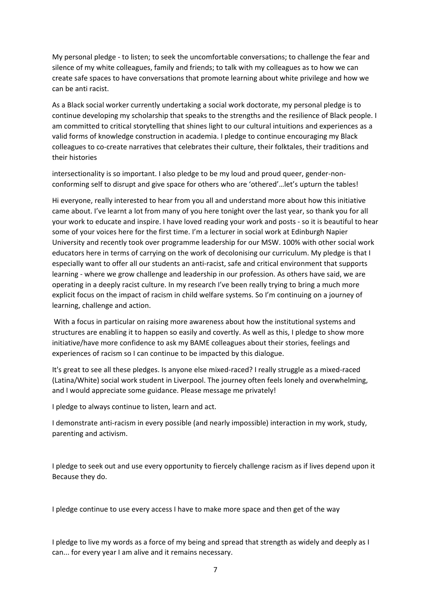My personal pledge - to listen; to seek the uncomfortable conversations; to challenge the fear and silence of my white colleagues, family and friends; to talk with my colleagues as to how we can create safe spaces to have conversations that promote learning about white privilege and how we can be anti racist.

As a Black social worker currently undertaking a social work doctorate, my personal pledge is to continue developing my scholarship that speaks to the strengths and the resilience of Black people. I am committed to critical storytelling that shines light to our cultural intuitions and experiences as a valid forms of knowledge construction in academia. I pledge to continue encouraging my Black colleagues to co-create narratives that celebrates their culture, their folktales, their traditions and their histories

intersectionality is so important. I also pledge to be my loud and proud queer, gender-nonconforming self to disrupt and give space for others who are 'othered'…let's upturn the tables!

Hi everyone, really interested to hear from you all and understand more about how this initiative came about. I've learnt a lot from many of you here tonight over the last year, so thank you for all your work to educate and inspire. I have loved reading your work and posts - so it is beautiful to hear some of your voices here for the first time. I'm a lecturer in social work at Edinburgh Napier University and recently took over programme leadership for our MSW. 100% with other social work educators here in terms of carrying on the work of decolonising our curriculum. My pledge is that I especially want to offer all our students an anti-racist, safe and critical environment that supports learning - where we grow challenge and leadership in our profession. As others have said, we are operating in a deeply racist culture. In my research I've been really trying to bring a much more explicit focus on the impact of racism in child welfare systems. So I'm continuing on a journey of learning, challenge and action.

With a focus in particular on raising more awareness about how the institutional systems and structures are enabling it to happen so easily and covertly. As well as this, I pledge to show more initiative/have more confidence to ask my BAME colleagues about their stories, feelings and experiences of racism so I can continue to be impacted by this dialogue.

It's great to see all these pledges. Is anyone else mixed-raced? I really struggle as a mixed-raced (Latina/White) social work student in Liverpool. The journey often feels lonely and overwhelming, and I would appreciate some guidance. Please message me privately!

I pledge to always continue to listen, learn and act.

I demonstrate anti-racism in every possible (and nearly impossible) interaction in my work, study, parenting and activism.

I pledge to seek out and use every opportunity to fiercely challenge racism as if lives depend upon it Because they do.

I pledge continue to use every access I have to make more space and then get of the way

I pledge to live my words as a force of my being and spread that strength as widely and deeply as I can... for every year I am alive and it remains necessary.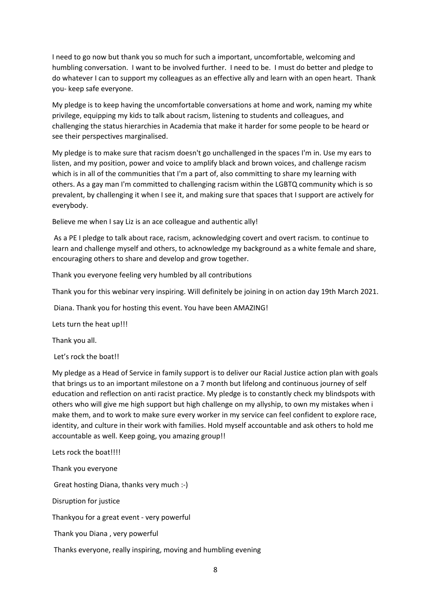I need to go now but thank you so much for such a important, uncomfortable, welcoming and humbling conversation. I want to be involved further. I need to be. I must do better and pledge to do whatever I can to support my colleagues as an effective ally and learn with an open heart. Thank you- keep safe everyone.

My pledge is to keep having the uncomfortable conversations at home and work, naming my white privilege, equipping my kids to talk about racism, listening to students and colleagues, and challenging the status hierarchies in Academia that make it harder for some people to be heard or see their perspectives marginalised.

My pledge is to make sure that racism doesn't go unchallenged in the spaces I'm in. Use my ears to listen, and my position, power and voice to amplify black and brown voices, and challenge racism which is in all of the communities that I'm a part of, also committing to share my learning with others. As a gay man I'm committed to challenging racism within the LGBTQ community which is so prevalent, by challenging it when I see it, and making sure that spaces that I support are actively for everybody.

Believe me when I say Liz is an ace colleague and authentic ally!

As a PE I pledge to talk about race, racism, acknowledging covert and overt racism. to continue to learn and challenge myself and others, to acknowledge my background as a white female and share, encouraging others to share and develop and grow together.

Thank you everyone feeling very humbled by all contributions

Thank you for this webinar very inspiring. Will definitely be joining in on action day 19th March 2021.

Diana. Thank you for hosting this event. You have been AMAZING!

Lets turn the heat up!!!

Thank you all.

Let's rock the boat!!

My pledge as a Head of Service in family support is to deliver our Racial Justice action plan with goals that brings us to an important milestone on a 7 month but lifelong and continuous journey of self education and reflection on anti racist practice. My pledge is to constantly check my blindspots with others who will give me high support but high challenge on my allyship, to own my mistakes when i make them, and to work to make sure every worker in my service can feel confident to explore race, identity, and culture in their work with families. Hold myself accountable and ask others to hold me accountable as well. Keep going, you amazing group!!

Lets rock the boat!!!!

Thank you everyone

Great hosting Diana, thanks very much :-)

Disruption for justice

Thankyou for a great event - very powerful

Thank you Diana , very powerful

Thanks everyone, really inspiring, moving and humbling evening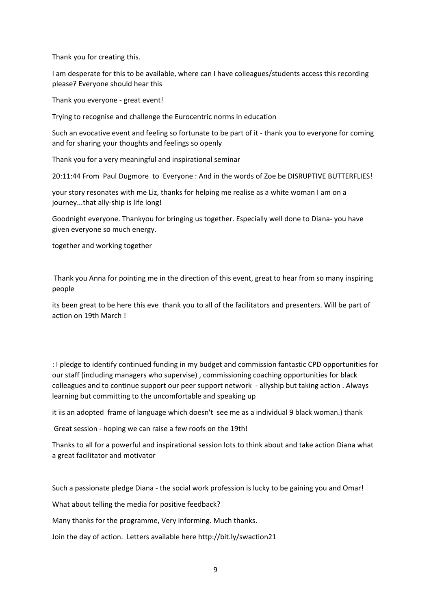Thank you for creating this.

I am desperate for this to be available, where can I have colleagues/students access this recording please? Everyone should hear this

Thank you everyone - great event!

Trying to recognise and challenge the Eurocentric norms in education

Such an evocative event and feeling so fortunate to be part of it - thank you to everyone for coming and for sharing your thoughts and feelings so openly

Thank you for a very meaningful and inspirational seminar

20:11:44 From Paul Dugmore to Everyone : And in the words of Zoe be DISRUPTIVE BUTTERFLIES!

your story resonates with me Liz, thanks for helping me realise as a white woman I am on a journey...that ally-ship is life long!

Goodnight everyone. Thankyou for bringing us together. Especially well done to Diana- you have given everyone so much energy.

together and working together

Thank you Anna for pointing me in the direction of this event, great to hear from so many inspiring people

its been great to be here this eve thank you to all of the facilitators and presenters. Will be part of action on 19th March !

: I pledge to identify continued funding in my budget and commission fantastic CPD opportunities for our staff (including managers who supervise) , commissioning coaching opportunities for black colleagues and to continue support our peer support network - allyship but taking action . Always learning but committing to the uncomfortable and speaking up

it iis an adopted frame of language which doesn't see me as a individual 9 black woman.) thank

Great session - hoping we can raise a few roofs on the 19th!

Thanks to all for a powerful and inspirational session lots to think about and take action Diana what a great facilitator and motivator

Such a passionate pledge Diana - the social work profession is lucky to be gaining you and Omar!

What about telling the media for positive feedback?

Many thanks for the programme, Very informing. Much thanks.

Join the day of action. Letters available here http://bit.ly/swaction21